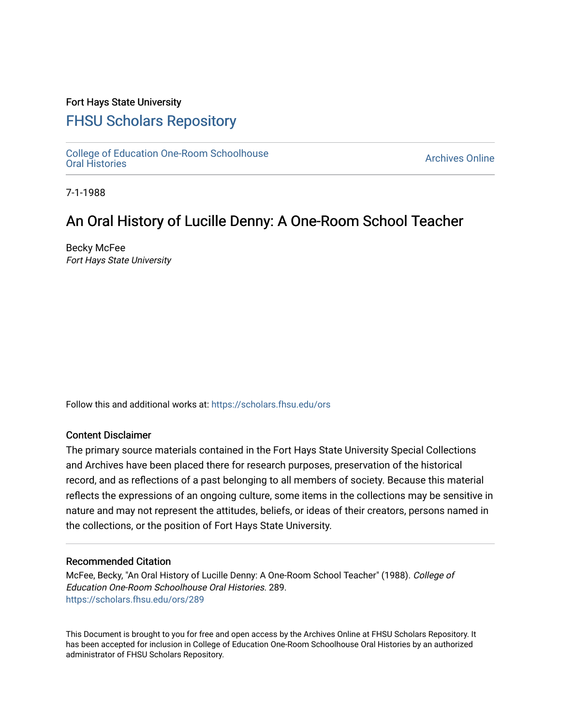## Fort Hays State University

# [FHSU Scholars Repository](https://scholars.fhsu.edu/)

[College of Education One-Room Schoolhouse](https://scholars.fhsu.edu/ors)<br>Oral Histories College of Education Orle-Room Schoolhouse<br>[Oral Histories](https://scholars.fhsu.edu/ors) Archives Online

7-1-1988

# An Oral History of Lucille Denny: A One-Room School Teacher

Becky McFee Fort Hays State University

Follow this and additional works at: [https://scholars.fhsu.edu/ors](https://scholars.fhsu.edu/ors?utm_source=scholars.fhsu.edu%2Fors%2F289&utm_medium=PDF&utm_campaign=PDFCoverPages) 

### Content Disclaimer

The primary source materials contained in the Fort Hays State University Special Collections and Archives have been placed there for research purposes, preservation of the historical record, and as reflections of a past belonging to all members of society. Because this material reflects the expressions of an ongoing culture, some items in the collections may be sensitive in nature and may not represent the attitudes, beliefs, or ideas of their creators, persons named in the collections, or the position of Fort Hays State University.

#### Recommended Citation

McFee, Becky, "An Oral History of Lucille Denny: A One-Room School Teacher" (1988). College of Education One-Room Schoolhouse Oral Histories. 289. [https://scholars.fhsu.edu/ors/289](https://scholars.fhsu.edu/ors/289?utm_source=scholars.fhsu.edu%2Fors%2F289&utm_medium=PDF&utm_campaign=PDFCoverPages) 

This Document is brought to you for free and open access by the Archives Online at FHSU Scholars Repository. It has been accepted for inclusion in College of Education One-Room Schoolhouse Oral Histories by an authorized administrator of FHSU Scholars Repository.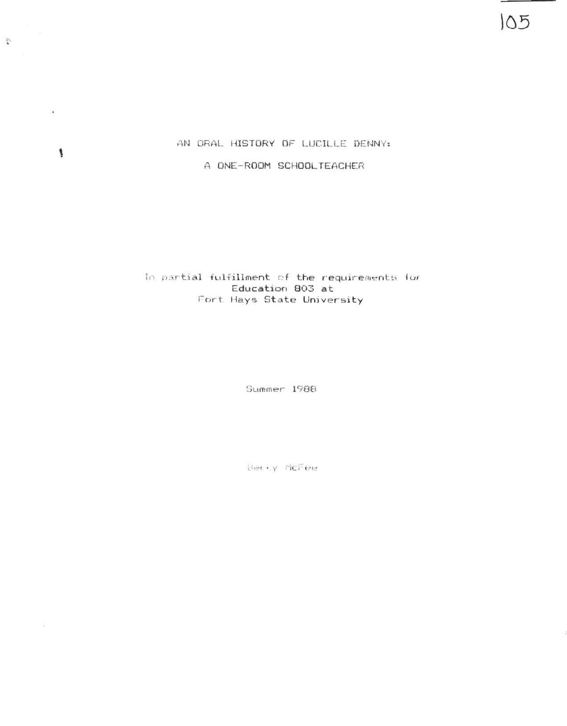AN ORAL HISTORY OF LUCILLE DENNY:

 $\overline{\mathcal{C}}_1$  .

 $\bullet$ 

 $\pmb{\S}$ 

 $\mathcal{Q}^{\mathcal{G}}_{\mathcal{A}}$ 

A ONE- ROOM SCHOOLTEACHER

### In partial fulfillment of the requirements for Education 803 at Fort Hays State University

Summer 1988

Berly McFee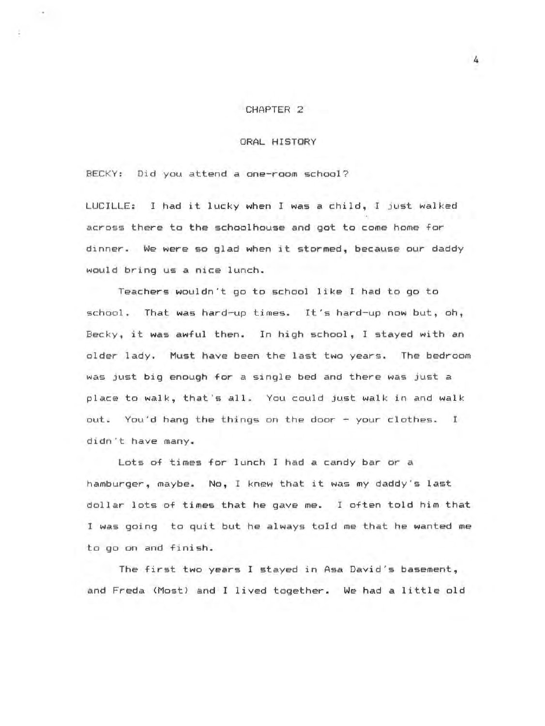#### CHAPTER 2

#### ORAL HISTORY

BECKY: Did you attend a one-room school?

LUCILLE: I had it lucky when I was a child, I just walked across there to the schoolhouse and got to come home for dinner. We were so glad when it stormed, because our daddy would bring us a nice lunch.

Teachers wouldn't go to school like I had to go to school. That was hard-up times. It's hard-up now but, oh, Becky, it was awful then. In high school, I stayed with an older lady. Must have been the last two years. The bedroom was just big enough for a single bed and there was just a place to walk, that's all . You could just walk in and walk out. You'd hang the things on the door - your clothes. I didn't have many.

Lots of times for lunch I had a candy bar or a hamburger, maybe. No, I knew that it was my daddy's last dollar lots of times that he gave me. I often told him that I was going to quit but he always told me that he wanted me to go on and finish.

The first two years I stayed in Asa David's basement, and Freda (Most) and I lived together . We had a little old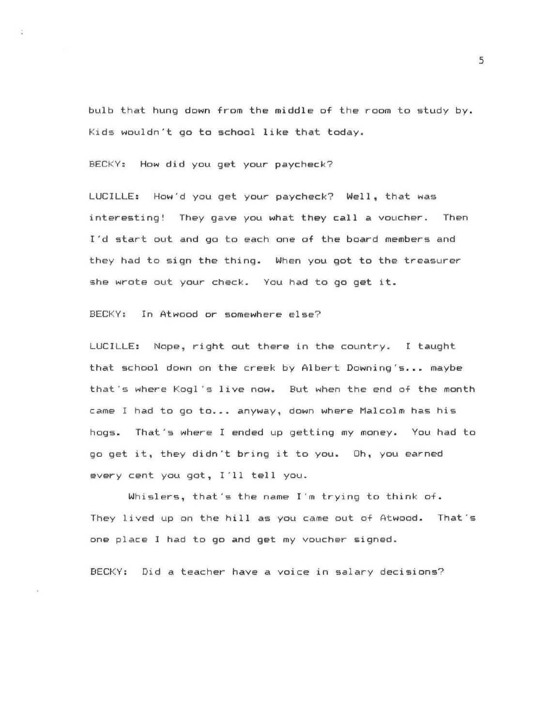bulb that hung down from the middle of the room to study by. Kids wouldn't go to school **like** that today.

BECKY: How did you get your paycheck?

÷.

LUCILLE: How'd you get your paycheck? Well, that was interesting! They gave you what they call a voucher. Then I'd start out and go to each one of the board members and they had to sign the thing. When you got to the treasurer she wrote out your check. You had to go get it.

BECKY: In Atwood or somewhere else?

LUCILLE: Nope, right out there in the country. I taught that school down on the creek by Albert Downing's... maybe that 's where Kogl 's live now. But when the end of the month came I had to go to... anyway, down where Malcolm has his hogs. That's where I ended up getting my money. You had to go get it, they didn't bring it to you. Oh, you earned every cent you got, I'll tell you.

Whislers, that's the name I'm trying to think of. They lived up on the hill as you came out of Atwood. That's one place I had to go and get my voucher signed.

BECKY: Did a teacher have a voice in salary decisions?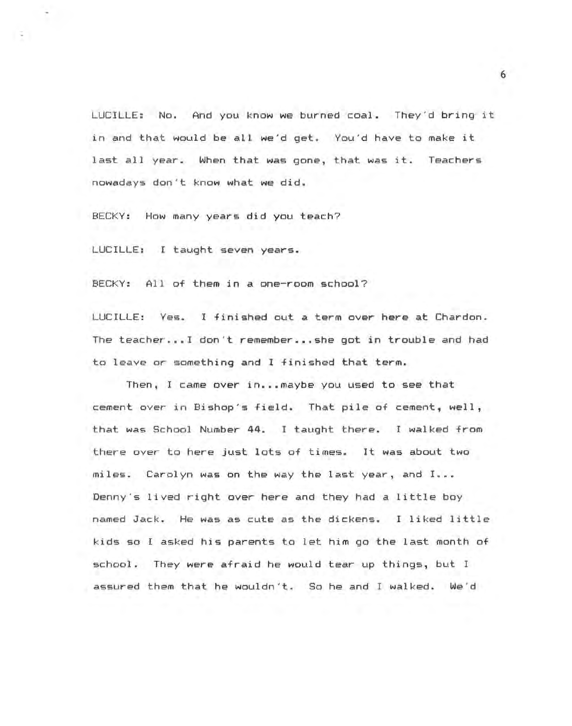LUCILLE: No. And you know we burned coal. They'd bring it in and that would be all we'd get. You'd have to make it last all year. When that was gone, that was it. Teachers nowadays don't know what we did.

BECKY: How many years did you teach?

LUCILLE: I taught seven years.

BECKY: All of them in a one-room school?

LUCILLE: Yes. I finished out a term over here at Chardon. The teacher ... ! don't remember ••. she got in trouble and had to leave or something and I finished that term.

Then, I came over in...maybe you used to see that cement over in Bishop's field. That pile of cement, well, that was School Number 44. I taught there. I walked from there over to here just lots of times. It was about two miles. Carolyn was on the way the last year, and I ••• Denny's lived right over here and they had a little boy named Jack. He was as cute as the dickens. I liked little kids so I asked his parents to let him go the last month of school. They were afraid he would tear up things, but I assured them that he wouldn't. So he and I walked. We'd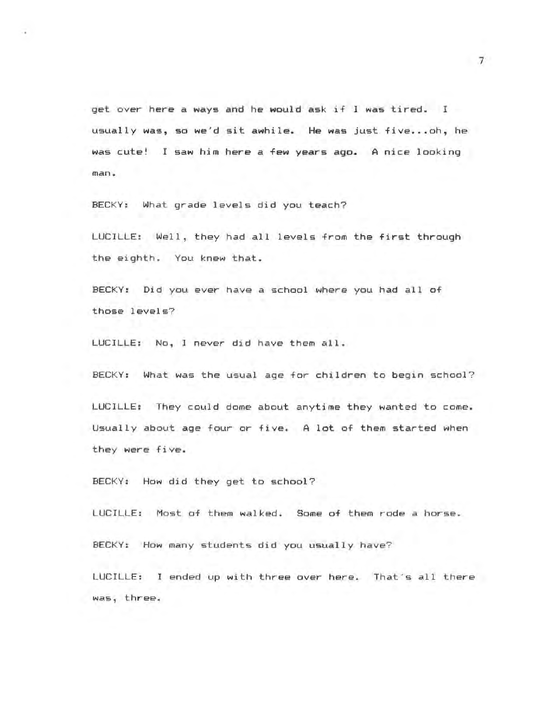get over here a ways and he would ask if I was tired. I usually was, so we'd sit awhile. He was just five...oh, he was cute! I saw him here a few **years** ago. A nice looking man.

BECKY: What grade levels did you teach?

LUCILLE: Well, they had all levels from the first through the eighth. You knew that.

BECKY: Did you ever have a school where you had all of those levels?

LUCILLE: No, I never did have them all.

BECKY: What was the usual age for children to begin school?

LUCILLE: They could dome about anytime they wanted to come. Usually about age four or five. A lot of them started when they were five.

BECKY: How did they get to school?

LUCILLE: Most of them walked. Some of them rode a horse.

BECKY: How many students did you usually have?

LUCILLE: I ended up with three over here. That's all there was, three.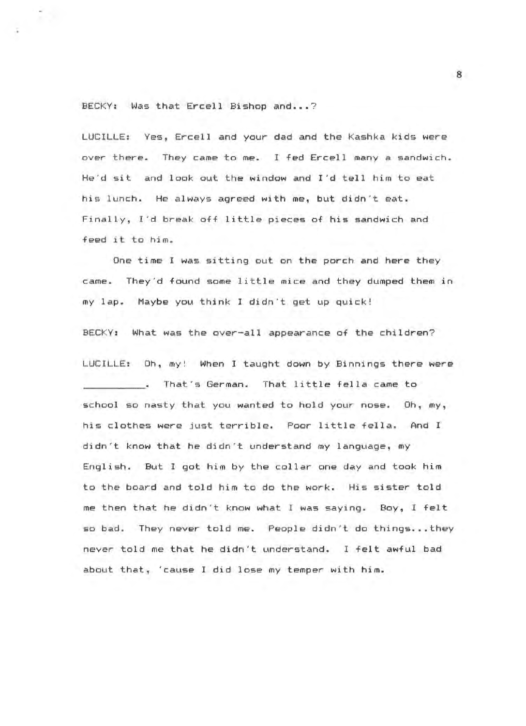#### BECKY: Was that Ercell Bishop and ...?

T.

LUCILLE: Yes, Ercell and your dad and the Kashka kids were over there. They came to me. I fed Ercell many a sandwich. He'd sit and look out the window and I'd tell him to eat his lunch. He always agreed with me, but didn't eat. Finally, I'd break off little pieces of his sandwich and feed it to him.

One time I was sitting out on the porch and here they came. They'd found some little mice and they dumped them in my lap. Maybe you think I didn't get up quick!

BECKY: What was the over-all appearance of the children?

LUCILLE: Oh, my! When I taught down by Binnings there were . That's German. That little fella came to school so nasty that you wanted to hold your nose. Oh, my, his clothes were just terrible. Poor little fella. And I didn't know that he didn't understand my language, my English. But I got him by the collar one day and took him to the board and told him to do the work. His sister told me then that he didn't know what I was saying. Boy, I felt so bad. They never told me. People didn't do things... they never told me that he didn't understand. I felt awful bad about that, cause I did lose my temper with him.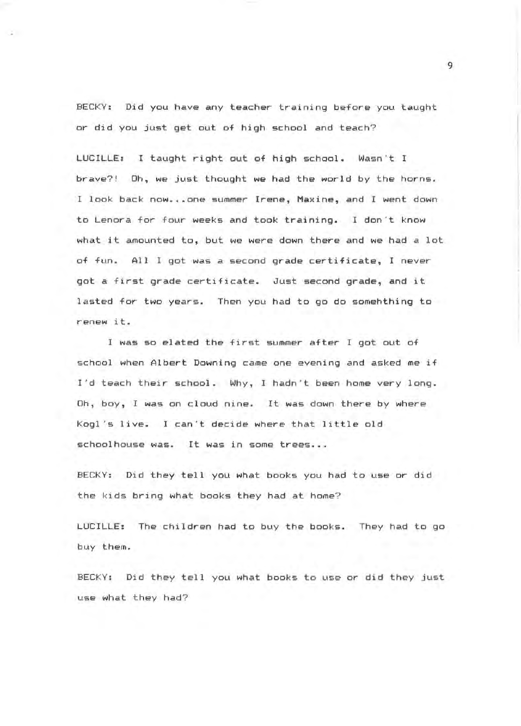BECKY: Did you have any teacher training before you taught or did you just get out of high school and teach?

 $\sim$ 

LUCILLE: I taught right out of high school. Wasn't I brave?! Oh, we just thought we had the world by the horns. I look back now...one summer Irene, Maxine, and I went down to Lenora for four weeks and took training. I don't know what it amounted to, but we were down there and we had a lot of fun. All I got was a second grade certificate, I never got a first grade certificate. Just second grade, and it lasted for two years. Then you had to go do somehthing to renew it.

<sup>I</sup>was so elated the first summer after I got out of school when Albert Downing came one evening and asked me if I'd teach their school. Why, I hadn't been home very long. Oh, boy, I was on cloud nine. It was down there by where Kogl's live. I can't decide where that little old schoolhouse was. It was in some trees...

BECKY: Did they tell you what books you had to use or did the kids bring what books they had at home?

LUCILLE: The children had to buy the books. They had to go buy them.

BECKY: Did they tell you what books to use or did they just use what they had?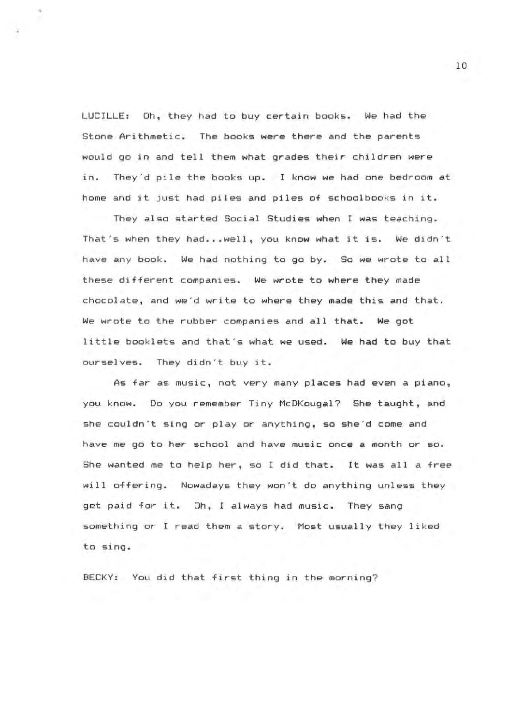LUCILLE: Oh, they had to buy certain books. We had the Stone Arithmetic. The books were there and the parents would go in and tell them what grades their children were in. They'd pile the books up. I know we had one bedroom at home and it just had piles and piles of schoolbooks in it.

They also started Social Studies when I was teaching. That's when they had...well, you know what it is. We didn't have any book. We had nothing to go by. So we wrote to all these different companies. We wrote to where they made chocolate, and we'd write to where they made this and that. We wrote to the rubber companies and all that. We got little booklets and that's what we used. We had to buy that ourselves. They didn't buy it.

As far as music, not very many places had even a piano, you know. Do you remember Tiny McDKougal? She taught, and she couldn't sing or play or anything, so she'd come and have me go to her school and have music once a month or so. She wanted me to help her, so I did that. It was all a free will offering. Nowadays they won't do anything unless they get paid for it. Oh, I always had music. They sang something or I read them a story. Most usually they liked to sing.

BECKY: You did that first thing in the morning?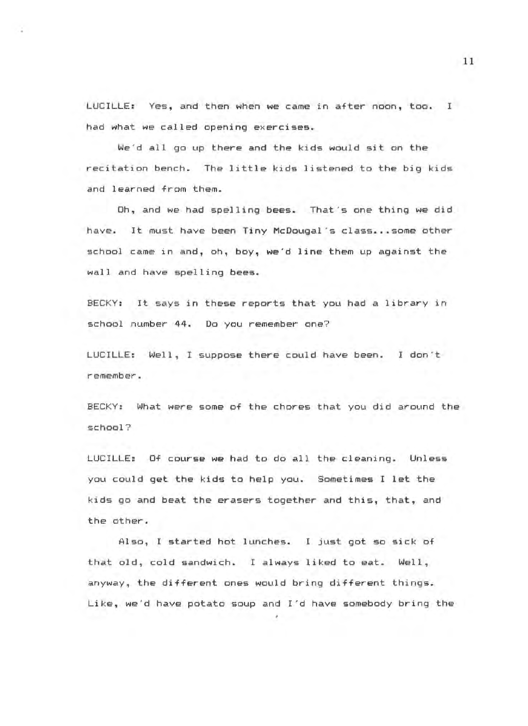LUCILLE: Yes, and then when we came in after noon, too. I had what we called opening exercises.

We'd all go up there and the kids would sit on the recitation bench. The little kids listened to the big kids and learned from them.

Oh, and we had spelling bees. That's one thing we did have. It must have been Tiny McDougal's class...some other school came in and, oh, boy, we'd line them up against the wall and have spelling bees.

BECKY: It says in these reports that you had a library in school number 44. Do you remember one?

LUCILLE: Well, I suppose there could have been. I don't remember.

BECKY: What were some of the chores that you did around the school ?

LUCILLE: Of course we had to do all the cleaning. Unless you could get the kids to help you. Sometimes I let the kids go and beat the erasers together and this, that, and the other.

Also, I started hot lunches. I just got so sick of that old, cold sandwich. I always liked to eat. Well, anyway, the different ones would bring different things. Like, we'd have potato soup and I'd have somebody bring the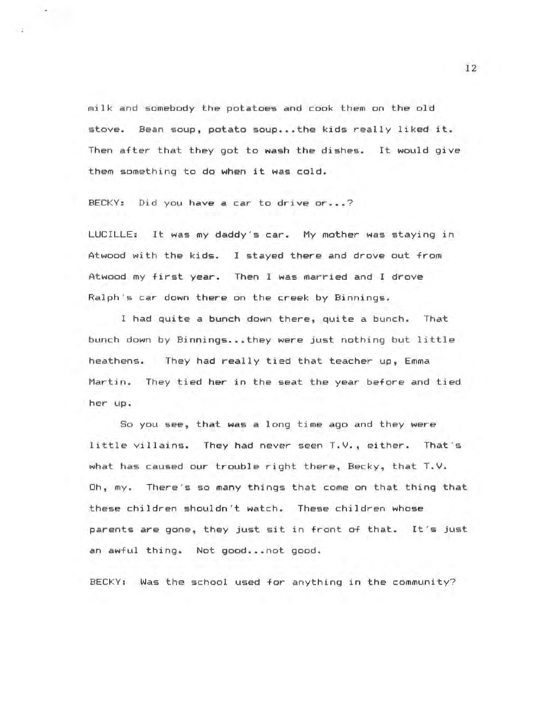milk and somebody the potatoes and cook them on the old stove. Bean soup, potato soup... the kids really liked it. Then after that they got to **wash** the dishes. It would give them something ta do **when** it was cold .

BECKY: Did you have a car to drive or...?

LUCILLE: It was my daddy's car. My mother was staying in Atwood with the kids. I stayed there and drove out from Atwood my first year. Then I was married and I drove Ralph's car down there on the creek by Binnings.

I had quite a bunch down there, quite a bunch. That bunch down by Binnings ... they were just nothing but little heathens. They had really tied that teacher up, Emma Martin. They tied her in the seat the year before and tied her up .

So you see, that was a long time ago and they were little villains. They had never seen T.V., either. That 's what has caused our trouble right there, Becky, that  $T.V.$ Oh, my. There's so many things that come on that thing that these children shouldn't watch. These chi ldren whose parents are gone, they just sit in front of that. It 's just an awful thing. Not good... not good.

BECKY: Was the school used for anything in the community?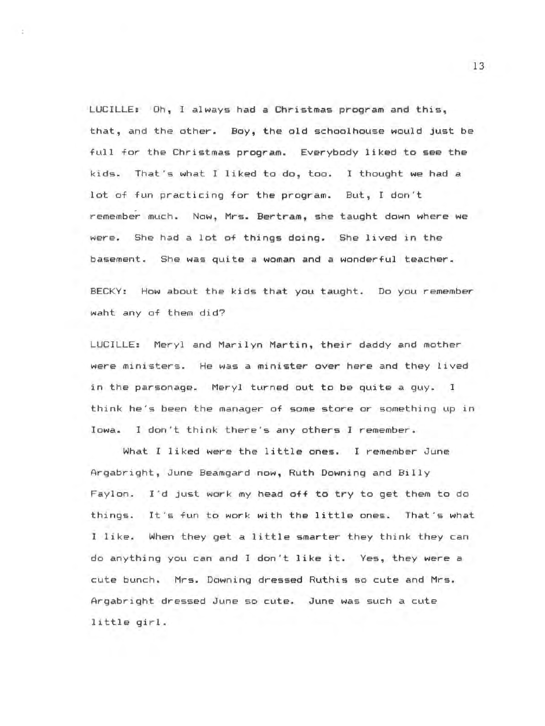LUCILLE: Oh, I always had a Christmas program and this, that, and the other. Boy, the old schoolhouse would Just be full for the Christmas program. Everybody liked to see the kids. That 's what I liked to do, too. I thought we had a lot of fun practicing for the program. But, I don't remember much. Now, Mrs. Bertram, she taught down where we were. She had a lot of things doing. She lived in the basement. She was quite *a* woman and *a* wonderful teacher.

BECKY: How about the kids that you taught. Do you remember waht any of them did?

LUCILLE: Meryl and Marilyn Martin, their daddy and mother were ministers. He was a minister over here and they lived in the parsonage. Meryl turned out to be quite a guy. I think he's been the manager of some store or something up in Iowa. I don't think there's any others I remember.

What I liked were the little ones. I remember June Argabright, June Beamgard now, Ruth Downing and Billy Faylon. I'd just work my head off to try to get them to do things. It's fun to work with the little ones. That's what I like. When they get a little smarter they think they can do anything you can and I don't like it. Yes, they were a cute bunch . Mrs. Downing dressed Ruthis so cute and Mrs. Argabright dressed June so cute. June was such a cute little girl.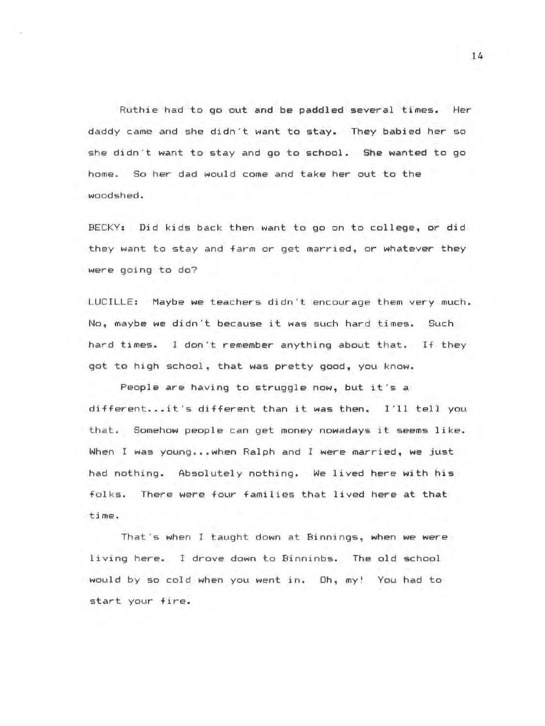Ruthie had to go out and be paddled several times. Her daddy came and she didn't want to stay. They babied her so she didn't want to stay and go to school . She wanted to go home. So her dad would come and take her out to the woodshed.

BECKY: Did kids back then want to go on to college, or did they want to stay and farm or get married, or whatever they were going to do?

LUCILLE: Maybe we teachers didn't encourage them very much. No, maybe we didn't because it was such hard times. Such hard times. I don't remember anything about that. If they got to high school, that was pretty good, you know.

People are having to struggle now, but it's a different ... it's different than it was then. I'll tell you that. Somehow people can get money nowadays it seems like. When I was young .•. when Ralph and I were married, we just had nothing. Absolutely nothing. We lived here with his folks. There were four families that lived here at that ti me.

That's when I taught down at Binnings, when we were living here. I drove down to Binninbs. The old school would by so cold when you went in. Oh, my! You had to start your fire.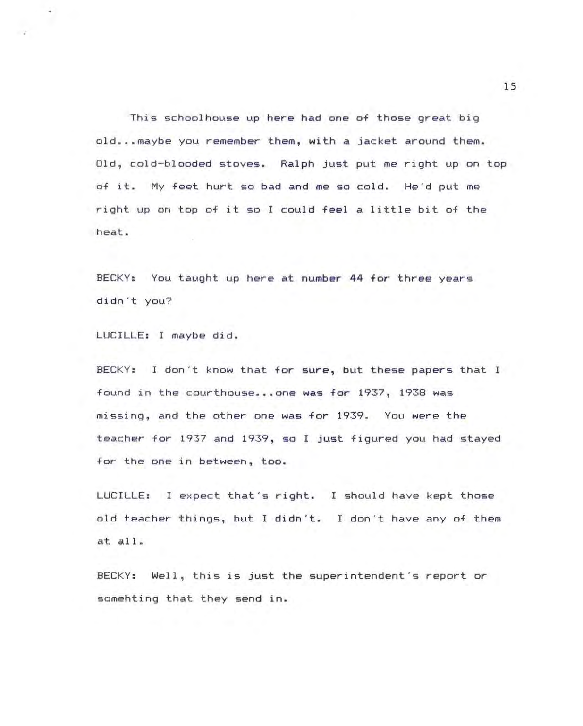This schoolhouse up here had one of those great big old...maybe you remember them, with a jacket around them. Old, cold-blooded stoves. Ralph just put me right up on top of it. My feet hurt so bad and me so cold. He'd put me right up on top of it so I could feel a little bit of the heat .

BECKY: You taught up here at number 44 for three years didn't you?

LUCILLE: I maybe did.

BECKY: I don't know that for sure, but these papers that I found in the courthouse... one was for 1937, 1938 was missing, and the other one was for 1939. You were the teacher for 1937 and 1939, so I just figured you had stayed for the one in between, too.

LUCILLE: I expect that's right. I should have kept those old teacher things, but I didn't. I don't have any of them at all.

BECKY: Well, this is just the superintendent's report or somehting that they send in.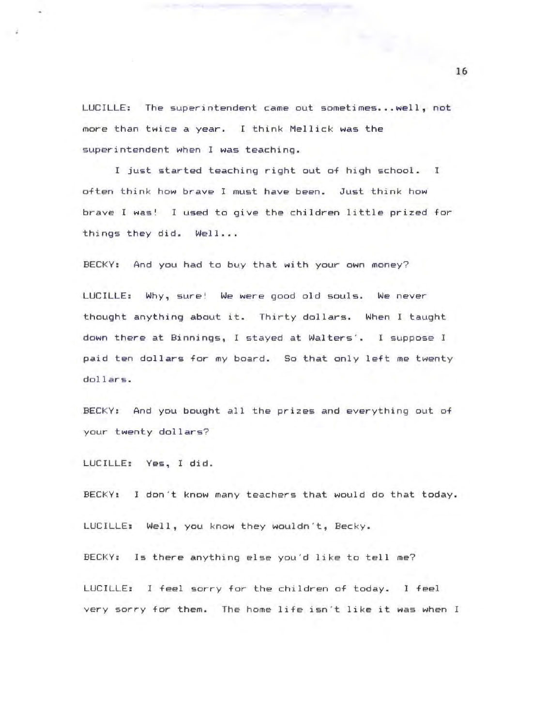LUCILLE: The superintendent came out sometimes ••. well, not more than twice a year. I think Mellick was the superintendent when I was teaching.

I just started teaching right out of high school. I often think how brave I must have been. Just think how brave I was! I used to give the children little prized for things they did. Well...

BECKY: And you had to buy that with your own money?

LUCILLE: Why, sure! We were good old souls. We never thought anything about it. Thirty dollars. When I taught down there at Binni ngs, I stayed at Walters'. I suppose I paid ten dollars for my board. So that only left me twenty dollars.

BECKY: And you bought all the prizes and everything out of your **twenty dollars?** 

LUCILLE: Yes, I did.

 $\rightarrow$ 

BECKY: I don't know many teachers that would do that today. LUCILLE: Well, you know they wouldn't, Becky.

BECKY: Is there anything else you'd like to tell me?

LUCILLE: I feel sorry for the children of today. I feel very sorry for them. The home life isn't like it was when I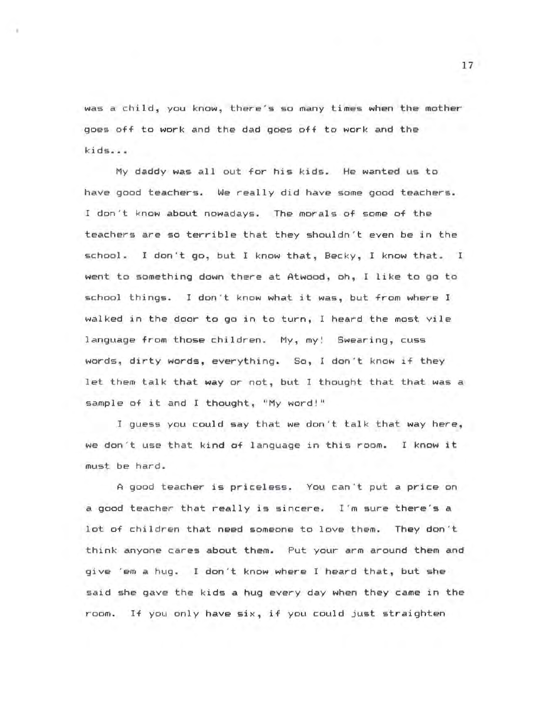was a child, you know, there's so many times when the mother goes off to work and the dad goes off to work and the kids .••

My daddy was all out for his kids. He wanted us to have good teachers. We really did have some good teachers. I don't know about nowadays. The morals of some of the teachers are so terrible that they shouldn't even be in the school. I don't go, but I know that, Becky, I know that. I went to something down there at Atwood, oh, I like to go to school things. I don't know what it was, but from where I walked in the door to go in to turn, I heard the most vile language from those children. My, my! Swearing, cuss words, dirty words, everything. So, I don't know if they let them talk that way or not, but I thought that that was a sample of it and I thought, "My word!"

I guess you could say that we don't talk that way here, we don't use that kind of language in this room. I know it must be hard.

<sup>A</sup>good teacher is priceless. You can't put a price on a good teacher that really is sincere. I'm sure there's a lot of children that need someone to love them. They don 't think anyone cares about them. Put your arm around them and give 'em a hug. I don't know where I heard that, but she said she gave the kids a hug every day when they came in the room. If you only have six, if you could just straighten